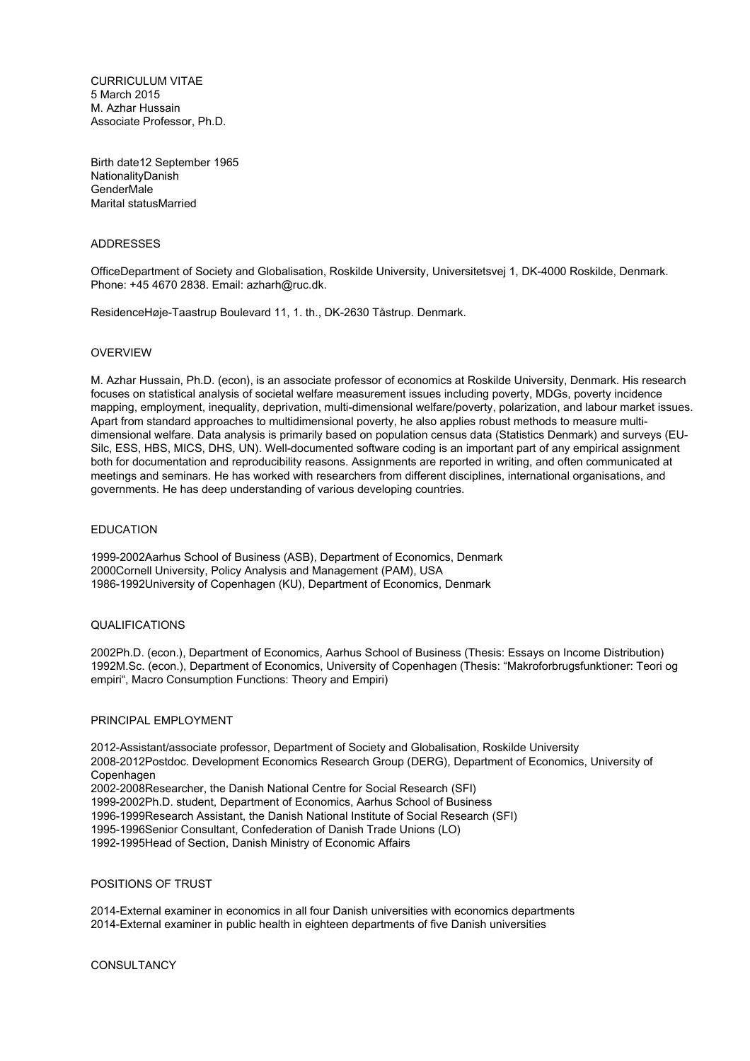CURRICULUM VITAE 5 March 2015 M. Azhar Hussain Associate Professor, Ph.D.

Birth date12 September 1965 NationalityDanish GenderMale Marital statusMarried

### ADDRESSES

OfficeDepartment of Society and Globalisation, Roskilde University, Universitetsvej 1, DK-4000 Roskilde, Denmark. Phone: +45 4670 2838. Email: azharh@ruc.dk.

ResidenceHøje-Taastrup Boulevard 11, 1. th., DK-2630 Tåstrup. Denmark.

### OVERVIEW

M. Azhar Hussain, Ph.D. (econ), is an associate professor of economics at Roskilde University, Denmark. His research focuses on statistical analysis of societal welfare measurement issues including poverty, MDGs, poverty incidence mapping, employment, inequality, deprivation, multi-dimensional welfare/poverty, polarization, and labour market issues. Apart from standard approaches to multidimensional poverty, he also applies robust methods to measure multidimensional welfare. Data analysis is primarily based on population census data (Statistics Denmark) and surveys (EU-Silc, ESS, HBS, MICS, DHS, UN). Well-documented software coding is an important part of any empirical assignment both for documentation and reproducibility reasons. Assignments are reported in writing, and often communicated at meetings and seminars. He has worked with researchers from different disciplines, international organisations, and governments. He has deep understanding of various developing countries.

### EDUCATION

1999-2002Aarhus School of Business (ASB), Department of Economics, Denmark 2000Cornell University, Policy Analysis and Management (PAM), USA 1986-1992University of Copenhagen (KU), Department of Economics, Denmark

### QUALIFICATIONS

2002Ph.D. (econ.), Department of Economics, Aarhus School of Business (Thesis: Essays on Income Distribution) 1992M.Sc. (econ.), Department of Economics, University of Copenhagen (Thesis: "Makroforbrugsfunktioner: Teori og empiri", Macro Consumption Functions: Theory and Empiri)

### PRINCIPAL EMPLOYMENT

2012-Assistant/associate professor, Department of Society and Globalisation, Roskilde University 2008-2012Postdoc. Development Economics Research Group (DERG), Department of Economics, University of Copenhagen 2002-2008Researcher, the Danish National Centre for Social Research (SFI) 1999-2002Ph.D. student, Department of Economics, Aarhus School of Business 1996-1999Research Assistant, the Danish National Institute of Social Research (SFI) 1995-1996Senior Consultant, Confederation of Danish Trade Unions (LO) 1992-1995Head of Section, Danish Ministry of Economic Affairs

#### POSITIONS OF TRUST

2014-External examiner in economics in all four Danish universities with economics departments 2014-External examiner in public health in eighteen departments of five Danish universities

**CONSULTANCY**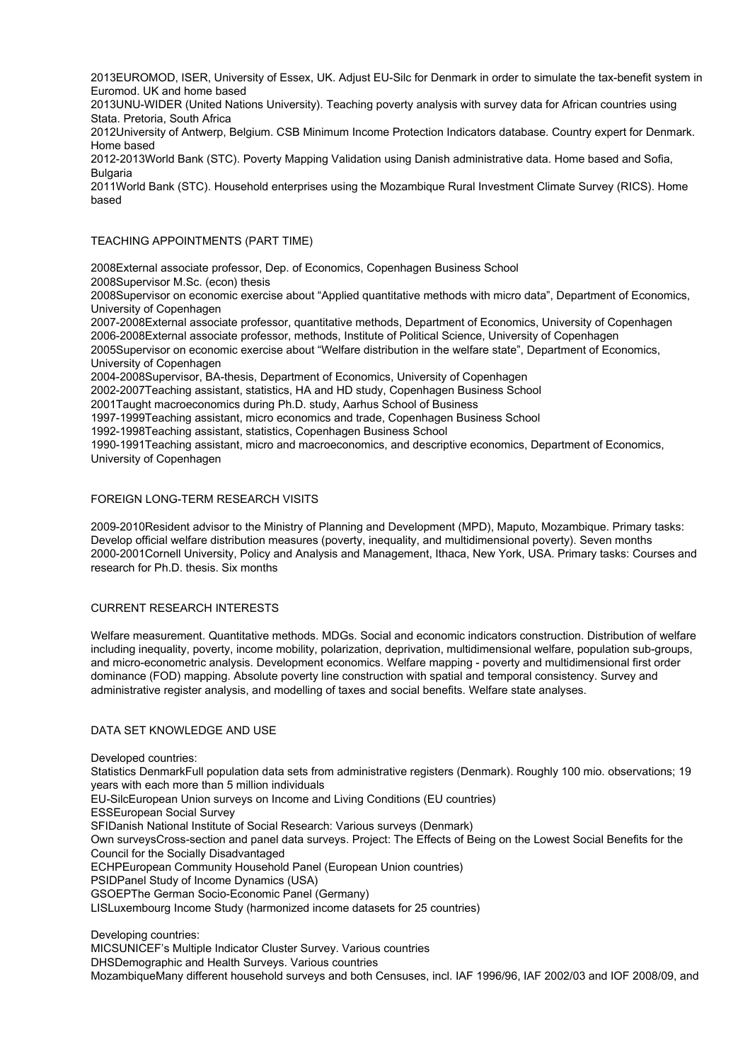2013EUROMOD, ISER, University of Essex, UK. Adjust EU-Silc for Denmark in order to simulate the tax-benefit system in Euromod. UK and home based

2013UNU-WIDER (United Nations University). Teaching poverty analysis with survey data for African countries using Stata. Pretoria, South Africa

2012University of Antwerp, Belgium. CSB Minimum Income Protection Indicators database. Country expert for Denmark. Home based

2012-2013World Bank (STC). Poverty Mapping Validation using Danish administrative data. Home based and Sofia, **Bulgaria** 

2011World Bank (STC). Household enterprises using the Mozambique Rural Investment Climate Survey (RICS). Home based

## TEACHING APPOINTMENTS (PART TIME)

2008External associate professor, Dep. of Economics, Copenhagen Business School 2008Supervisor M.Sc. (econ) thesis

2008Supervisor on economic exercise about "Applied quantitative methods with micro data", Department of Economics, University of Copenhagen

2007-2008External associate professor, quantitative methods, Department of Economics, University of Copenhagen 2006-2008External associate professor, methods, Institute of Political Science, University of Copenhagen 2005Supervisor on economic exercise about "Welfare distribution in the welfare state", Department of Economics, University of Copenhagen

2004-2008Supervisor, BA-thesis, Department of Economics, University of Copenhagen

2002-2007Teaching assistant, statistics, HA and HD study, Copenhagen Business School

2001Taught macroeconomics during Ph.D. study, Aarhus School of Business

1997-1999Teaching assistant, micro economics and trade, Copenhagen Business School

1992-1998Teaching assistant, statistics, Copenhagen Business School

1990-1991Teaching assistant, micro and macroeconomics, and descriptive economics, Department of Economics, University of Copenhagen

# FOREIGN LONG-TERM RESEARCH VISITS

2009-2010Resident advisor to the Ministry of Planning and Development (MPD), Maputo, Mozambique. Primary tasks: Develop official welfare distribution measures (poverty, inequality, and multidimensional poverty). Seven months 2000-2001Cornell University, Policy and Analysis and Management, Ithaca, New York, USA. Primary tasks: Courses and research for Ph.D. thesis. Six months

# CURRENT RESEARCH INTERESTS

Welfare measurement. Quantitative methods. MDGs. Social and economic indicators construction. Distribution of welfare including inequality, poverty, income mobility, polarization, deprivation, multidimensional welfare, population sub-groups, and micro-econometric analysis. Development economics. Welfare mapping - poverty and multidimensional first order dominance (FOD) mapping. Absolute poverty line construction with spatial and temporal consistency. Survey and administrative register analysis, and modelling of taxes and social benefits. Welfare state analyses.

# DATA SET KNOWLEDGE AND USE

Developed countries:

Statistics DenmarkFull population data sets from administrative registers (Denmark). Roughly 100 mio. observations; 19 years with each more than 5 million individuals

EU-SilcEuropean Union surveys on Income and Living Conditions (EU countries)

ESSEuropean Social Survey

SFIDanish National Institute of Social Research: Various surveys (Denmark)

Own surveysCross-section and panel data surveys. Project: The Effects of Being on the Lowest Social Benefits for the Council for the Socially Disadvantaged

ECHPEuropean Community Household Panel (European Union countries)

PSIDPanel Study of Income Dynamics (USA)

GSOEPThe German Socio-Economic Panel (Germany)

LISLuxembourg Income Study (harmonized income datasets for 25 countries)

Developing countries:

MICSUNICEF's Multiple Indicator Cluster Survey. Various countries

DHSDemographic and Health Surveys. Various countries

MozambiqueMany different household surveys and both Censuses, incl. IAF 1996/96, IAF 2002/03 and IOF 2008/09, and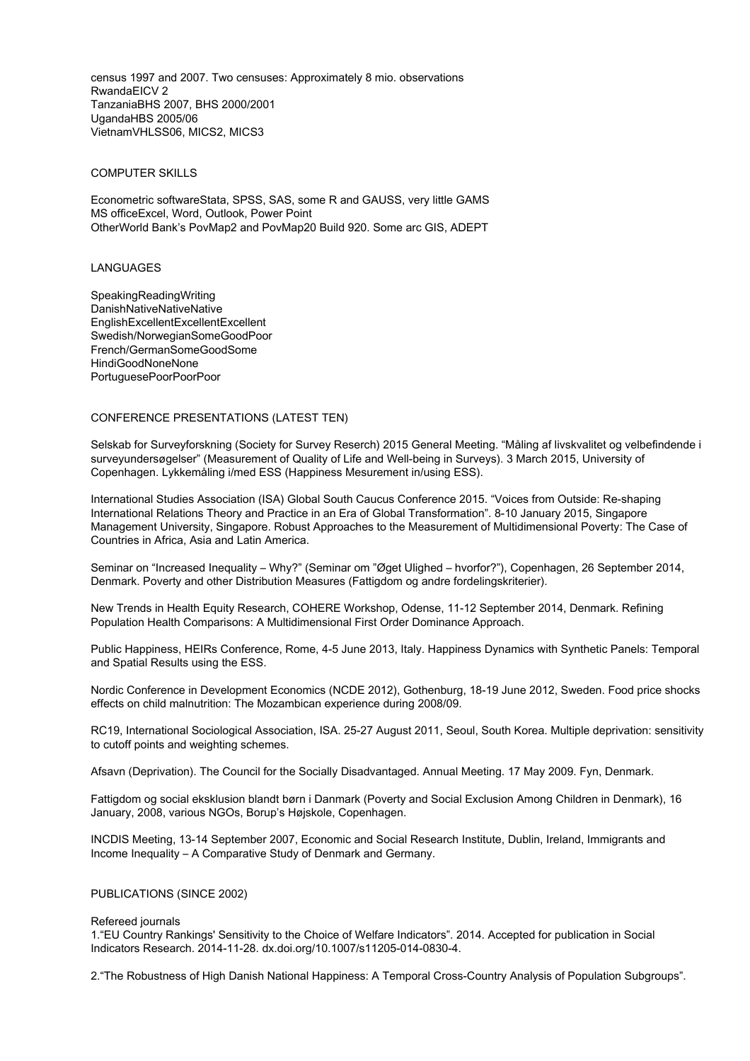census 1997 and 2007. Two censuses: Approximately 8 mio. observations RwandaEICV 2 TanzaniaBHS 2007, BHS 2000/2001 UgandaHBS 2005/06 VietnamVHLSS06, MICS2, MICS3

### COMPUTER SKILLS

Econometric softwareStata, SPSS, SAS, some R and GAUSS, very little GAMS MS officeExcel, Word, Outlook, Power Point OtherWorld Bank's PovMap2 and PovMap20 Build 920. Some arc GIS, ADEPT

## LANGUAGES

SpeakingReadingWriting DanishNativeNativeNative EnglishExcellentExcellentExcellent Swedish/NorwegianSomeGoodPoor French/GermanSomeGoodSome HindiGoodNoneNone PortuguesePoorPoorPoor

## CONFERENCE PRESENTATIONS (LATEST TEN)

Selskab for Surveyforskning (Society for Survey Reserch) 2015 General Meeting. "Måling af livskvalitet og velbefindende i surveyundersøgelser" (Measurement of Quality of Life and Well-being in Surveys). 3 March 2015, University of Copenhagen. Lykkemåling i/med ESS (Happiness Mesurement in/using ESS).

International Studies Association (ISA) Global South Caucus Conference 2015. "Voices from Outside: Re-shaping International Relations Theory and Practice in an Era of Global Transformation". 8-10 January 2015, Singapore Management University, Singapore. Robust Approaches to the Measurement of Multidimensional Poverty: The Case of Countries in Africa, Asia and Latin America.

Seminar on "Increased Inequality – Why?" (Seminar om "Øget Ulighed – hvorfor?"), Copenhagen, 26 September 2014, Denmark. Poverty and other Distribution Measures (Fattigdom og andre fordelingskriterier).

New Trends in Health Equity Research, COHERE Workshop, Odense, 11-12 September 2014, Denmark. Refining Population Health Comparisons: A Multidimensional First Order Dominance Approach.

Public Happiness, HEIRs Conference, Rome, 4-5 June 2013, Italy. Happiness Dynamics with Synthetic Panels: Temporal and Spatial Results using the ESS.

Nordic Conference in Development Economics (NCDE 2012), Gothenburg, 18-19 June 2012, Sweden. Food price shocks effects on child malnutrition: The Mozambican experience during 2008/09.

RC19, International Sociological Association, ISA. 25-27 August 2011, Seoul, South Korea. Multiple deprivation: sensitivity to cutoff points and weighting schemes.

Afsavn (Deprivation). The Council for the Socially Disadvantaged. Annual Meeting. 17 May 2009. Fyn, Denmark.

Fattigdom og social eksklusion blandt børn i Danmark (Poverty and Social Exclusion Among Children in Denmark), 16 January, 2008, various NGOs, Borup's Højskole, Copenhagen.

INCDIS Meeting, 13-14 September 2007, Economic and Social Research Institute, Dublin, Ireland, Immigrants and Income Inequality – A Comparative Study of Denmark and Germany.

## PUBLICATIONS (SINCE 2002)

#### Refereed journals

1."EU Country Rankings' Sensitivity to the Choice of Welfare Indicators". 2014. Accepted for publication in Social Indicators Research. 2014-11-28. dx.doi.org/10.1007/s11205-014-0830-4.

2."The Robustness of High Danish National Happiness: A Temporal Cross-Country Analysis of Population Subgroups".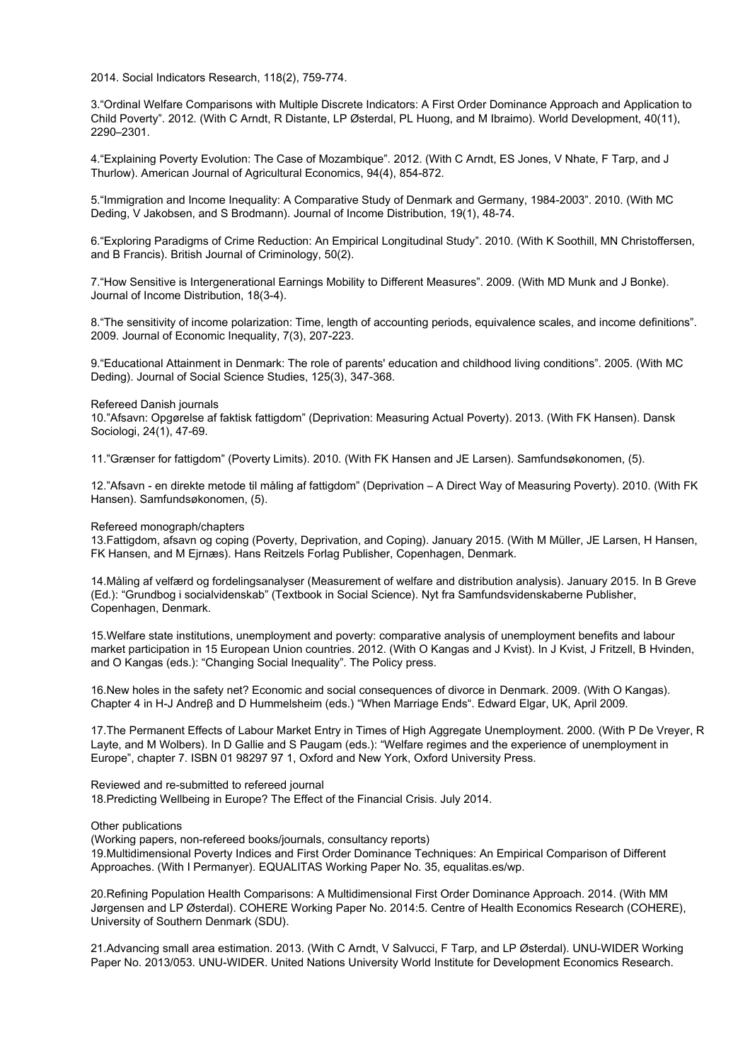2014. Social Indicators Research, 118(2), 759-774.

3."Ordinal Welfare Comparisons with Multiple Discrete Indicators: A First Order Dominance Approach and Application to Child Poverty". 2012. (With C Arndt, R Distante, LP Østerdal, PL Huong, and M Ibraimo). World Development, 40(11), 2290–2301.

4."Explaining Poverty Evolution: The Case of Mozambique". 2012. (With C Arndt, ES Jones, V Nhate, F Tarp, and J Thurlow). American Journal of Agricultural Economics, 94(4), 854-872.

5."Immigration and Income Inequality: A Comparative Study of Denmark and Germany, 1984-2003". 2010. (With MC Deding, V Jakobsen, and S Brodmann). Journal of Income Distribution, 19(1), 48-74.

6."Exploring Paradigms of Crime Reduction: An Empirical Longitudinal Study". 2010. (With K Soothill, MN Christoffersen, and B Francis). British Journal of Criminology, 50(2).

7."How Sensitive is Intergenerational Earnings Mobility to Different Measures". 2009. (With MD Munk and J Bonke). Journal of Income Distribution, 18(3-4).

8."The sensitivity of income polarization: Time, length of accounting periods, equivalence scales, and income definitions". 2009. Journal of Economic Inequality, 7(3), 207-223.

9."Educational Attainment in Denmark: The role of parents' education and childhood living conditions". 2005. (With MC Deding). Journal of Social Science Studies, 125(3), 347-368.

### Refereed Danish journals

10."Afsavn: Opgørelse af faktisk fattigdom" (Deprivation: Measuring Actual Poverty). 2013. (With FK Hansen). Dansk Sociologi, 24(1), 47-69.

11."Grænser for fattigdom" (Poverty Limits). 2010. (With FK Hansen and JE Larsen). Samfundsøkonomen, (5).

12."Afsavn - en direkte metode til måling af fattigdom" (Deprivation – A Direct Way of Measuring Poverty). 2010. (With FK Hansen). Samfundsøkonomen, (5).

Refereed monograph/chapters

13.Fattigdom, afsavn og coping (Poverty, Deprivation, and Coping). January 2015. (With M Müller, JE Larsen, H Hansen, FK Hansen, and M Ejrnæs). Hans Reitzels Forlag Publisher, Copenhagen, Denmark.

14.Måling af velfærd og fordelingsanalyser (Measurement of welfare and distribution analysis). January 2015. In B Greve (Ed.): "Grundbog i socialvidenskab" (Textbook in Social Science). Nyt fra Samfundsvidenskaberne Publisher, Copenhagen, Denmark.

15.Welfare state institutions, unemployment and poverty: comparative analysis of unemployment benefits and labour market participation in 15 European Union countries. 2012. (With O Kangas and J Kvist). In J Kvist, J Fritzell, B Hvinden, and O Kangas (eds.): "Changing Social Inequality". The Policy press.

16.New holes in the safety net? Economic and social consequences of divorce in Denmark. 2009. (With O Kangas). Chapter 4 in H-J Andreβ and D Hummelsheim (eds.) "When Marriage Ends". Edward Elgar, UK, April 2009.

17.The Permanent Effects of Labour Market Entry in Times of High Aggregate Unemployment. 2000. (With P De Vreyer, R Layte, and M Wolbers). In D Gallie and S Paugam (eds.): "Welfare regimes and the experience of unemployment in Europe", chapter 7. ISBN 01 98297 97 1, Oxford and New York, Oxford University Press.

Reviewed and re-submitted to refereed journal 18.Predicting Wellbeing in Europe? The Effect of the Financial Crisis. July 2014.

Other publications

(Working papers, non-refereed books/journals, consultancy reports) 19.Multidimensional Poverty Indices and First Order Dominance Techniques: An Empirical Comparison of Different Approaches. (With I Permanyer). EQUALITAS Working Paper No. 35, equalitas.es/wp.

20.Refining Population Health Comparisons: A Multidimensional First Order Dominance Approach. 2014. (With MM Jørgensen and LP Østerdal). COHERE Working Paper No. 2014:5. Centre of Health Economics Research (COHERE), University of Southern Denmark (SDU).

21.Advancing small area estimation. 2013. (With C Arndt, V Salvucci, F Tarp, and LP Østerdal). UNU-WIDER Working Paper No. 2013/053. UNU-WIDER. United Nations University World Institute for Development Economics Research.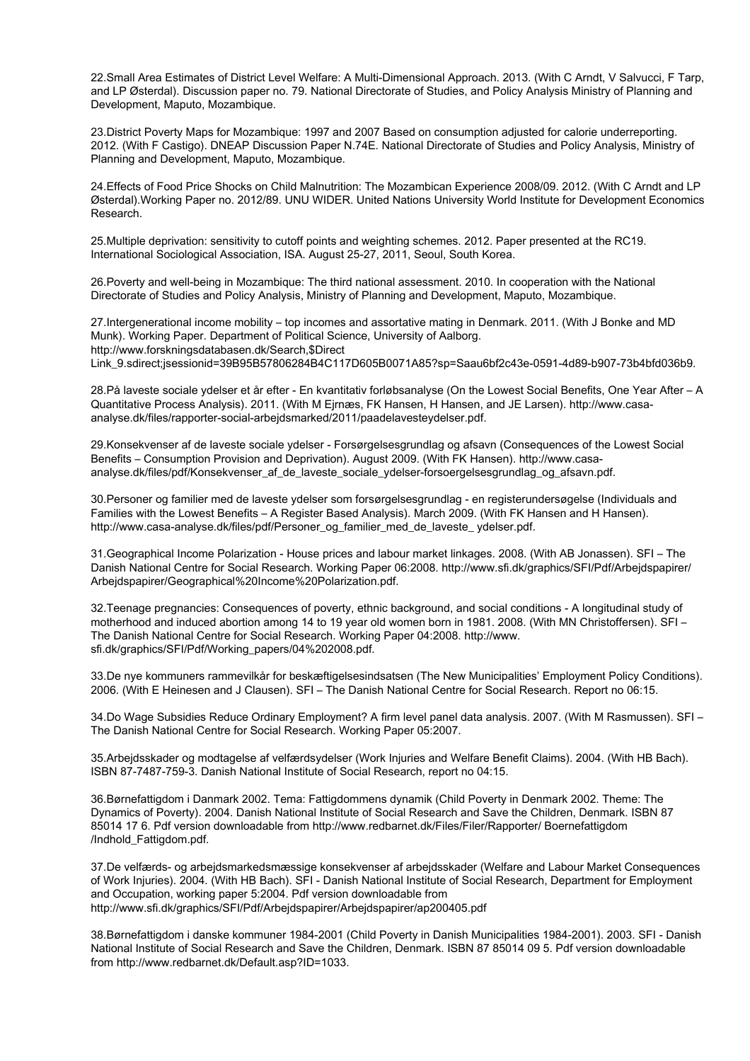22.Small Area Estimates of District Level Welfare: A Multi-Dimensional Approach. 2013. (With C Arndt, V Salvucci, F Tarp, and LP Østerdal). Discussion paper no. 79. National Directorate of Studies, and Policy Analysis Ministry of Planning and Development, Maputo, Mozambique.

23.District Poverty Maps for Mozambique: 1997 and 2007 Based on consumption adjusted for calorie underreporting. 2012. (With F Castigo). DNEAP Discussion Paper N.74E. National Directorate of Studies and Policy Analysis, Ministry of Planning and Development, Maputo, Mozambique.

24.Effects of Food Price Shocks on Child Malnutrition: The Mozambican Experience 2008/09. 2012. (With C Arndt and LP Østerdal).Working Paper no. 2012/89. UNU WIDER. United Nations University World Institute for Development Economics Research.

25.Multiple deprivation: sensitivity to cutoff points and weighting schemes. 2012. Paper presented at the RC19. International Sociological Association, ISA. August 25-27, 2011, Seoul, South Korea.

26.Poverty and well-being in Mozambique: The third national assessment. 2010. In cooperation with the National Directorate of Studies and Policy Analysis, Ministry of Planning and Development, Maputo, Mozambique.

27.Intergenerational income mobility – top incomes and assortative mating in Denmark. 2011. (With J Bonke and MD Munk). Working Paper. Department of Political Science, University of Aalborg. http://www.forskningsdatabasen.dk/Search,\$Direct Link\_9.sdirect;jsessionid=39B95B57806284B4C117D605B0071A85?sp=Saau6bf2c43e-0591-4d89-b907-73b4bfd036b9.

28.På laveste sociale ydelser et år efter - En kvantitativ forløbsanalyse (On the Lowest Social Benefits, One Year After – A Quantitative Process Analysis). 2011. (With M Ejrnæs, FK Hansen, H Hansen, and JE Larsen). http://www.casaanalyse.dk/files/rapporter-social-arbejdsmarked/2011/paadelavesteydelser.pdf.

29.Konsekvenser af de laveste sociale ydelser - Forsørgelsesgrundlag og afsavn (Consequences of the Lowest Social Benefits – Consumption Provision and Deprivation). August 2009. (With FK Hansen). http://www.casaanalyse.dk/files/pdf/Konsekvenser\_af\_de\_laveste\_sociale\_ydelser-forsoergelsesgrundlag\_og\_afsavn.pdf.

30.Personer og familier med de laveste ydelser som forsørgelsesgrundlag - en registerundersøgelse (Individuals and Families with the Lowest Benefits – A Register Based Analysis). March 2009. (With FK Hansen and H Hansen). http://www.casa-analyse.dk/files/pdf/Personer\_og\_familier\_med\_de\_laveste\_ ydelser.pdf.

31.Geographical Income Polarization - House prices and labour market linkages. 2008. (With AB Jonassen). SFI – The Danish National Centre for Social Research. Working Paper 06:2008. http://www.sfi.dk/graphics/SFI/Pdf/Arbejdspapirer/ Arbejdspapirer/Geographical%20Income%20Polarization.pdf.

32.Teenage pregnancies: Consequences of poverty, ethnic background, and social conditions - A longitudinal study of motherhood and induced abortion among 14 to 19 year old women born in 1981. 2008. (With MN Christoffersen). SFI – The Danish National Centre for Social Research. Working Paper 04:2008. http://www. sfi.dk/graphics/SFI/Pdf/Working\_papers/04%202008.pdf.

33.De nye kommuners rammevilkår for beskæftigelsesindsatsen (The New Municipalities' Employment Policy Conditions). 2006. (With E Heinesen and J Clausen). SFI – The Danish National Centre for Social Research. Report no 06:15.

34.Do Wage Subsidies Reduce Ordinary Employment? A firm level panel data analysis. 2007. (With M Rasmussen). SFI – The Danish National Centre for Social Research. Working Paper 05:2007.

35.Arbejdsskader og modtagelse af velfærdsydelser (Work Injuries and Welfare Benefit Claims). 2004. (With HB Bach). ISBN 87-7487-759-3. Danish National Institute of Social Research, report no 04:15.

36.Børnefattigdom i Danmark 2002. Tema: Fattigdommens dynamik (Child Poverty in Denmark 2002. Theme: The Dynamics of Poverty). 2004. Danish National Institute of Social Research and Save the Children, Denmark. ISBN 87 85014 17 6. Pdf version downloadable from http://www.redbarnet.dk/Files/Filer/Rapporter/ Boernefattigdom /Indhold\_Fattigdom.pdf.

37.De velfærds- og arbejdsmarkedsmæssige konsekvenser af arbejdsskader (Welfare and Labour Market Consequences of Work Injuries). 2004. (With HB Bach). SFI - Danish National Institute of Social Research, Department for Employment and Occupation, working paper 5:2004. Pdf version downloadable from http://www.sfi.dk/graphics/SFI/Pdf/Arbejdspapirer/Arbejdspapirer/ap200405.pdf

38.Børnefattigdom i danske kommuner 1984-2001 (Child Poverty in Danish Municipalities 1984-2001). 2003. SFI - Danish National Institute of Social Research and Save the Children, Denmark. ISBN 87 85014 09 5. Pdf version downloadable from http://www.redbarnet.dk/Default.asp?ID=1033.